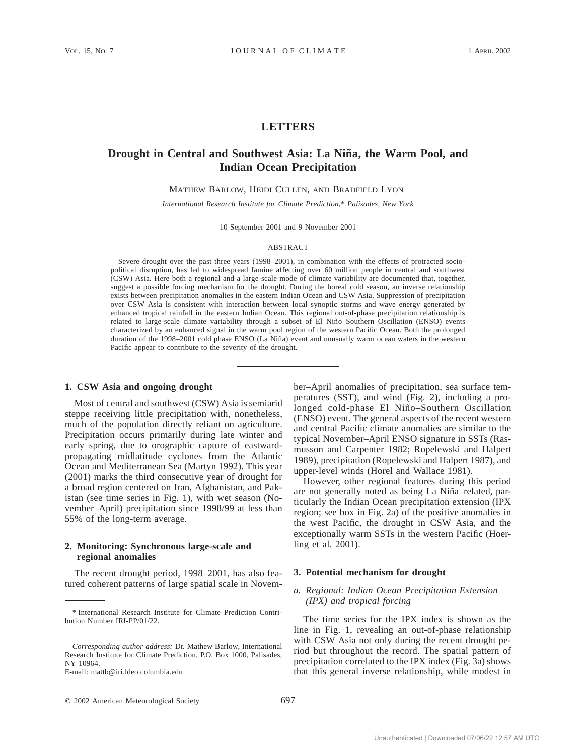# **LETTERS**

# **Drought in Central and Southwest Asia: La Niña, the Warm Pool, and Indian Ocean Precipitation**

MATHEW BARLOW, HEIDI CULLEN, AND BRADFIELD LYON

*International Research Institute for Climate Prediction,*\* *Palisades, New York*

10 September 2001 and 9 November 2001

#### ABSTRACT

Severe drought over the past three years (1998–2001), in combination with the effects of protracted sociopolitical disruption, has led to widespread famine affecting over 60 million people in central and southwest (CSW) Asia. Here both a regional and a large-scale mode of climate variability are documented that, together, suggest a possible forcing mechanism for the drought. During the boreal cold season, an inverse relationship exists between precipitation anomalies in the eastern Indian Ocean and CSW Asia. Suppression of precipitation over CSW Asia is consistent with interaction between local synoptic storms and wave energy generated by enhanced tropical rainfall in the eastern Indian Ocean. This regional out-of-phase precipitation relationship is related to large-scale climate variability through a subset of El Niño-Southern Oscillation (ENSO) events characterized by an enhanced signal in the warm pool region of the western Pacific Ocean. Both the prolonged duration of the 1998–2001 cold phase ENSO (La Niña) event and unusually warm ocean waters in the western Pacific appear to contribute to the severity of the drought.

### **1. CSW Asia and ongoing drought**

Most of central and southwest (CSW) Asia is semiarid steppe receiving little precipitation with, nonetheless, much of the population directly reliant on agriculture. Precipitation occurs primarily during late winter and early spring, due to orographic capture of eastwardpropagating midlatitude cyclones from the Atlantic Ocean and Mediterranean Sea (Martyn 1992). This year (2001) marks the third consecutive year of drought for a broad region centered on Iran, Afghanistan, and Pakistan (see time series in Fig. 1), with wet season (November–April) precipitation since 1998/99 at less than 55% of the long-term average.

## **2. Monitoring: Synchronous large-scale and regional anomalies**

The recent drought period, 1998–2001, has also featured coherent patterns of large spatial scale in November–April anomalies of precipitation, sea surface temperatures (SST), and wind (Fig. 2), including a prolonged cold-phase El Niño-Southern Oscillation (ENSO) event. The general aspects of the recent western and central Pacific climate anomalies are similar to the typical November–April ENSO signature in SSTs (Rasmusson and Carpenter 1982; Ropelewski and Halpert 1989), precipitation (Ropelewski and Halpert 1987), and upper-level winds (Horel and Wallace 1981).

However, other regional features during this period are not generally noted as being La Niña-related, particularly the Indian Ocean precipitation extension (IPX region; see box in Fig. 2a) of the positive anomalies in the west Pacific, the drought in CSW Asia, and the exceptionally warm SSTs in the western Pacific (Hoerling et al. 2001).

### **3. Potential mechanism for drought**

## *a. Regional: Indian Ocean Precipitation Extension (IPX) and tropical forcing*

The time series for the IPX index is shown as the line in Fig. 1, revealing an out-of-phase relationship with CSW Asia not only during the recent drought period but throughout the record. The spatial pattern of precipitation correlated to the IPX index (Fig. 3a) shows that this general inverse relationship, while modest in

<sup>\*</sup> International Research Institute for Climate Prediction Contribution Number IRI-PP/01/22.

*Corresponding author address:* Dr. Mathew Barlow, International Research Institute for Climate Prediction, P.O. Box 1000, Palisades, NY 10964.

E-mail: mattb@iri.ldeo.columbia.edu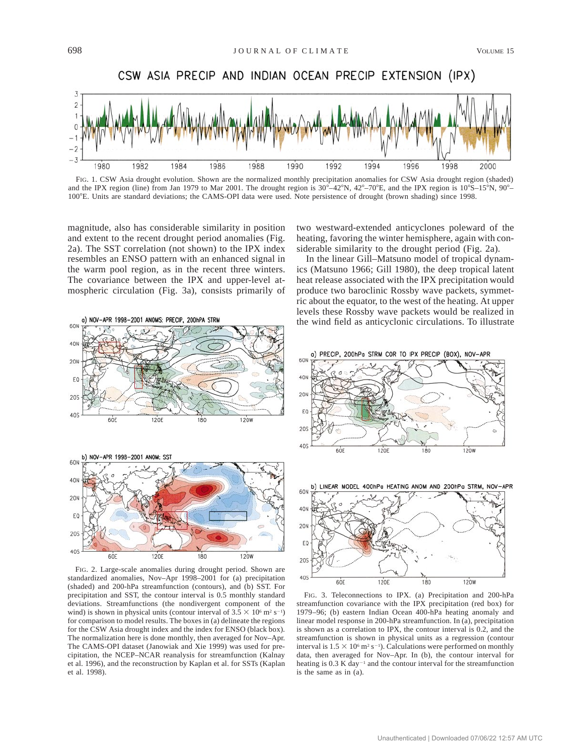

FIG. 1. CSW Asia drought evolution. Shown are the normalized monthly precipitation anomalies for CSW Asia drought region (shaded) and the IPX region (line) from Jan 1979 to Mar 2001. The drought region is  $30^{\circ}$ –42°N,  $42^{\circ}$ –70°E, and the IPX region is  $10^{\circ}$ S–15°N,  $90^{\circ}$ – 1008E. Units are standard deviations; the CAMS-OPI data were used. Note persistence of drought (brown shading) since 1998.

magnitude, also has considerable similarity in position and extent to the recent drought period anomalies (Fig. 2a). The SST correlation (not shown) to the IPX index resembles an ENSO pattern with an enhanced signal in the warm pool region, as in the recent three winters. The covariance between the IPX and upper-level atmospheric circulation (Fig. 3a), consists primarily of



In the linear Gill–Matsuno model of tropical dynamics (Matsuno 1966; Gill 1980), the deep tropical latent heat release associated with the IPX precipitation would produce two baroclinic Rossby wave packets, symmetric about the equator, to the west of the heating. At upper levels these Rossby wave packets would be realized in the wind field as anticyclonic circulations. To illustrate



FIG. 2. Large-scale anomalies during drought period. Shown are standardized anomalies, Nov–Apr 1998–2001 for (a) precipitation (shaded) and 200-hPa streamfunction (contours), and (b) SST. For precipitation and SST, the contour interval is 0.5 monthly standard deviations. Streamfunctions (the nondivergent component of the wind) is shown in physical units (contour interval of  $3.5 \times 10^6$  m<sup>2</sup> s<sup>-1</sup>) for comparison to model results. The boxes in (a) delineate the regions for the CSW Asia drought index and the index for ENSO (black box). The normalization here is done monthly, then averaged for Nov–Apr. The CAMS-OPI dataset (Janowiak and Xie 1999) was used for precipitation, the NCEP–NCAR reanalysis for streamfunction (Kalnay et al. 1996), and the reconstruction by Kaplan et al. for SSTs (Kaplan et al. 1998).







FIG. 3. Teleconnections to IPX. (a) Precipitation and 200-hPa streamfunction covariance with the IPX precipitation (red box) for 1979–96; (b) eastern Indian Ocean 400-hPa heating anomaly and linear model response in 200-hPa streamfunction. In (a), precipitation is shown as a correlation to IPX, the contour interval is 0.2, and the streamfunction is shown in physical units as a regression (contour interval is  $1.5 \times 10^6$  m<sup>2</sup> s<sup>-1</sup>). Calculations were performed on monthly data, then averaged for Nov–Apr. In (b), the contour interval for heating is  $0.3$  K day<sup>-1</sup> and the contour interval for the streamfunction is the same as in (a).

a) NOV-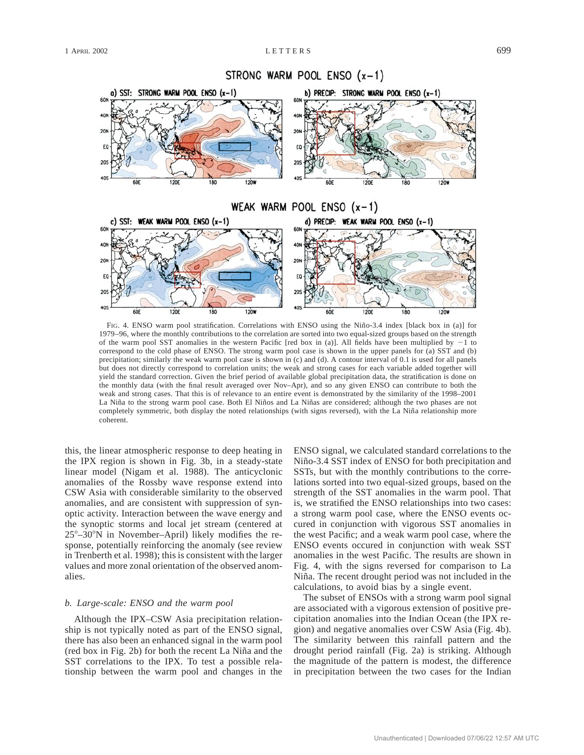

FIG. 4. ENSO warm pool stratification. Correlations with ENSO using the Niño-3.4 index [black box in (a)] for 1979–96, where the monthly contributions to the correlation are sorted into two equal-sized groups based on the strength of the warm pool SST anomalies in the western Pacific [red box in (a)]. All fields have been multiplied by  $-1$  to correspond to the cold phase of ENSO. The strong warm pool case is shown in the upper panels for (a) SST and (b) precipitation; similarly the weak warm pool case is shown in (c) and (d). A contour interval of 0.1 is used for all panels but does not directly correspond to correlation units; the weak and strong cases for each variable added together will yield the standard correction. Given the brief period of available global precipitation data, the stratification is done on the monthly data (with the final result averaged over Nov–Apr), and so any given ENSO can contribute to both the weak and strong cases. That this is of relevance to an entire event is demonstrated by the similarity of the 1998–2001 La Niña to the strong warm pool case. Both El Niños and La Niñas are considered; although the two phases are not completely symmetric, both display the noted relationships (with signs reversed), with the La Niña relationship more coherent.

this, the linear atmospheric response to deep heating in the IPX region is shown in Fig. 3b, in a steady-state linear model (Nigam et al. 1988). The anticyclonic anomalies of the Rossby wave response extend into CSW Asia with considerable similarity to the observed anomalies, and are consistent with suppression of synoptic activity. Interaction between the wave energy and the synoptic storms and local jet stream (centered at  $25^{\circ}-30^{\circ}$ N in November–April) likely modifies the response, potentially reinforcing the anomaly (see review in Trenberth et al. 1998); this is consistent with the larger values and more zonal orientation of the observed anomalies.

### *b. Large-scale: ENSO and the warm pool*

Although the IPX–CSW Asia precipitation relationship is not typically noted as part of the ENSO signal, there has also been an enhanced signal in the warm pool (red box in Fig. 2b) for both the recent La Niña and the SST correlations to the IPX. To test a possible relationship between the warm pool and changes in the ENSO signal, we calculated standard correlations to the Niño-3.4 SST index of ENSO for both precipitation and SSTs, but with the monthly contributions to the correlations sorted into two equal-sized groups, based on the strength of the SST anomalies in the warm pool. That is, we stratified the ENSO relationships into two cases: a strong warm pool case, where the ENSO events occured in conjunction with vigorous SST anomalies in the west Pacific; and a weak warm pool case, where the ENSO events occured in conjunction with weak SST anomalies in the west Pacific. The results are shown in Fig. 4, with the signs reversed for comparison to La Niña. The recent drought period was not included in the calculations, to avoid bias by a single event.

The subset of ENSOs with a strong warm pool signal are associated with a vigorous extension of positive precipitation anomalies into the Indian Ocean (the IPX region) and negative anomalies over CSW Asia (Fig. 4b). The similarity between this rainfall pattern and the drought period rainfall (Fig. 2a) is striking. Although the magnitude of the pattern is modest, the difference in precipitation between the two cases for the Indian